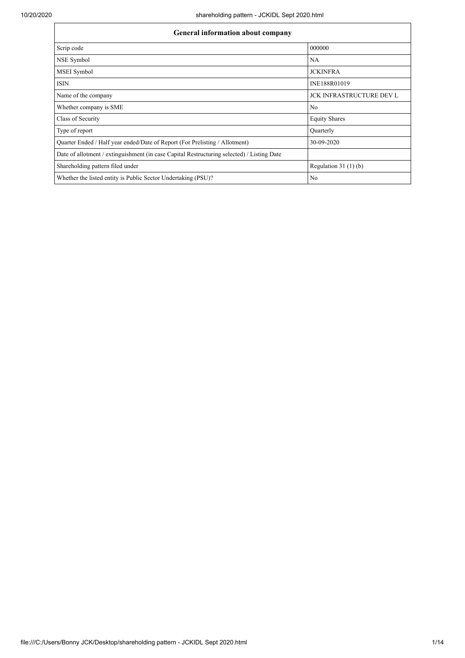| <b>General information about company</b>                                                   |                                 |  |  |  |  |  |
|--------------------------------------------------------------------------------------------|---------------------------------|--|--|--|--|--|
| Scrip code                                                                                 | 000000                          |  |  |  |  |  |
| NSE Symbol                                                                                 | NA.                             |  |  |  |  |  |
| MSEI Symbol                                                                                | <b>JCKINFRA</b>                 |  |  |  |  |  |
| <b>ISIN</b>                                                                                | INE188R01019                    |  |  |  |  |  |
| Name of the company                                                                        | <b>JCK INFRASTRUCTURE DEV L</b> |  |  |  |  |  |
| Whether company is SME                                                                     | N <sub>o</sub>                  |  |  |  |  |  |
| Class of Security                                                                          | <b>Equity Shares</b>            |  |  |  |  |  |
| Type of report                                                                             | Ouarterly                       |  |  |  |  |  |
| Quarter Ended / Half year ended/Date of Report (For Prelisting / Allotment)                | 30-09-2020                      |  |  |  |  |  |
| Date of allotment / extinguishment (in case Capital Restructuring selected) / Listing Date |                                 |  |  |  |  |  |
| Shareholding pattern filed under                                                           | Regulation $31(1)(b)$           |  |  |  |  |  |
| Whether the listed entity is Public Sector Undertaking (PSU)?                              | No                              |  |  |  |  |  |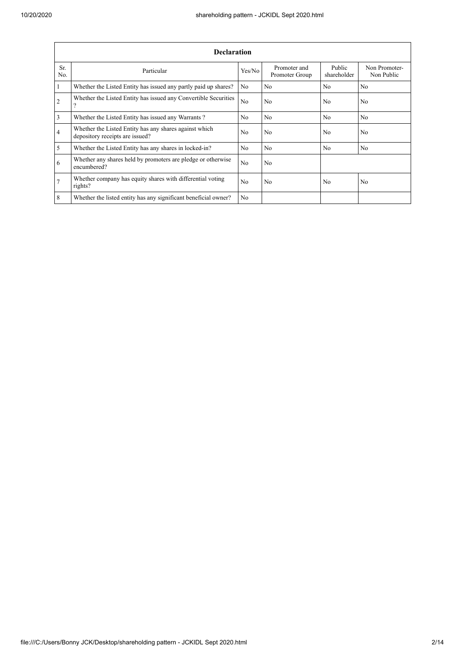|                | <b>Declaration</b>                                                                        |                |                                |                       |                             |  |  |  |  |
|----------------|-------------------------------------------------------------------------------------------|----------------|--------------------------------|-----------------------|-----------------------------|--|--|--|--|
| Sr.<br>No.     | Particular                                                                                | Yes/No         | Promoter and<br>Promoter Group | Public<br>shareholder | Non Promoter-<br>Non Public |  |  |  |  |
| 1              | Whether the Listed Entity has issued any partly paid up shares?                           | N <sub>o</sub> | N <sub>0</sub>                 | N <sub>0</sub>        | No                          |  |  |  |  |
| $\overline{2}$ | Whether the Listed Entity has issued any Convertible Securities                           | N <sub>o</sub> | No                             | N <sub>0</sub>        | N <sub>o</sub>              |  |  |  |  |
| $\overline{3}$ | Whether the Listed Entity has issued any Warrants?                                        | N <sub>0</sub> | No                             | N <sub>0</sub>        | No                          |  |  |  |  |
| $\overline{4}$ | Whether the Listed Entity has any shares against which<br>depository receipts are issued? | N <sub>0</sub> | No                             | N <sub>o</sub>        | N <sub>o</sub>              |  |  |  |  |
| 5              | Whether the Listed Entity has any shares in locked-in?                                    | N <sub>0</sub> | No                             | N <sub>0</sub>        | N <sub>o</sub>              |  |  |  |  |
| 6              | Whether any shares held by promoters are pledge or otherwise<br>encumbered?               | N <sub>o</sub> | No                             |                       |                             |  |  |  |  |
| .7             | Whether company has equity shares with differential voting<br>rights?                     | N <sub>0</sub> | No                             | N <sub>0</sub>        | N <sub>o</sub>              |  |  |  |  |
| 8              | Whether the listed entity has any significant beneficial owner?                           | N <sub>o</sub> |                                |                       |                             |  |  |  |  |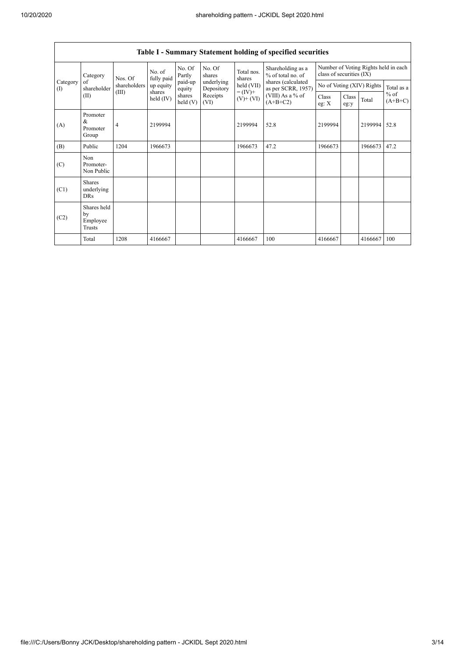$\overline{\phantom{a}}$ 

|                                                             | Table 1 - Summary Statement holding of specified securities |                      |                   |                          |                              |                                                                                                                      |                                                                  |               |       |                     |      |
|-------------------------------------------------------------|-------------------------------------------------------------|----------------------|-------------------|--------------------------|------------------------------|----------------------------------------------------------------------------------------------------------------------|------------------------------------------------------------------|---------------|-------|---------------------|------|
| Category<br>Category<br>of<br>shareholder<br>$($ I)<br>(II) | Nos. Of                                                     | No. of<br>fully paid | No. Of<br>Partly  | No. Of<br>shares         | Total nos.<br>shares         | Shareholding as a<br>% of total no. of<br>shares (calculated<br>as per SCRR, 1957)<br>(VIII) As a % of<br>$(A+B+C2)$ | Number of Voting Rights held in each<br>class of securities (IX) |               |       |                     |      |
|                                                             | shareholders                                                | up equity            | paid-up<br>equity | underlying<br>Depository | $held$ (VII)                 |                                                                                                                      | No of Voting (XIV) Rights                                        |               |       | Total as a          |      |
|                                                             | (III)                                                       | shares<br>held (IV)  | shares<br>held(V) | Receipts<br>(VI)         | $= (IV) +$<br>$(V)$ + $(VI)$ |                                                                                                                      | Class<br>eg: $X$                                                 | Class<br>eg:y | Total | $%$ of<br>$(A+B+C)$ |      |
| (A)                                                         | Promoter<br>&<br>Promoter<br>Group                          | 4                    | 2199994           |                          |                              | 2199994                                                                                                              | 52.8                                                             | 2199994       |       | 2199994             | 52.8 |
| (B)                                                         | Public                                                      | 1204                 | 1966673           |                          |                              | 1966673                                                                                                              | 47.2                                                             | 1966673       |       | 1966673             | 47.2 |
| (C)                                                         | Non<br>Promoter-<br>Non Public                              |                      |                   |                          |                              |                                                                                                                      |                                                                  |               |       |                     |      |
| (C1)                                                        | <b>Shares</b><br>underlying<br><b>DRs</b>                   |                      |                   |                          |                              |                                                                                                                      |                                                                  |               |       |                     |      |
| (C2)                                                        | Shares held<br>by<br>Employee<br>Trusts                     |                      |                   |                          |                              |                                                                                                                      |                                                                  |               |       |                     |      |
|                                                             | Total                                                       | 1208                 | 4166667           |                          |                              | 4166667                                                                                                              | 100                                                              | 4166667       |       | 4166667             | 100  |

## **Table I - Summary Statement holding of specified securities**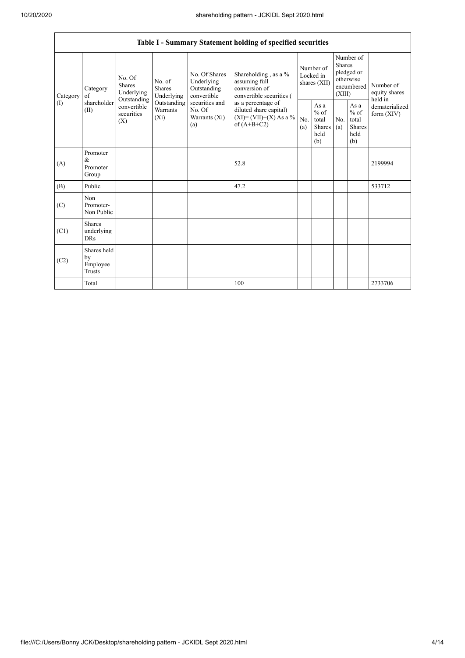|                | Table I - Summary Statement holding of specified securities |                                                 |                                       |                                                                                                               |                                                                                            |                                        |                                                  |                                                                               |                                                         |                                       |
|----------------|-------------------------------------------------------------|-------------------------------------------------|---------------------------------------|---------------------------------------------------------------------------------------------------------------|--------------------------------------------------------------------------------------------|----------------------------------------|--------------------------------------------------|-------------------------------------------------------------------------------|---------------------------------------------------------|---------------------------------------|
| of<br>Category | Category                                                    | No. Of<br><b>Shares</b><br>Underlying           | No. of<br><b>Shares</b><br>Underlying | No. Of Shares<br>Underlying<br>Outstanding<br>convertible<br>securities and<br>No. Of<br>Warrants (Xi)<br>(a) | Shareholding, as a %<br>assuming full<br>conversion of<br>convertible securities (         | Number of<br>Locked in<br>shares (XII) |                                                  | Number of<br><b>Shares</b><br>pledged or<br>otherwise<br>encumbered<br>(XIII) |                                                         | Number of<br>equity shares<br>held in |
| (1)            | shareholder<br>(II)                                         | Outstanding<br>convertible<br>securities<br>(X) | Outstanding<br>Warrants<br>$(X_i)$    |                                                                                                               | as a percentage of<br>diluted share capital)<br>$(XI) = (VII)+(X) As a %$<br>of $(A+B+C2)$ | No.<br>(a)                             | As a<br>$%$ of<br>total<br>Shares<br>held<br>(b) | No.<br>(a)                                                                    | As a<br>$%$ of<br>total<br><b>Shares</b><br>held<br>(b) | dematerialized<br>form $(XIV)$        |
| (A)            | Promoter<br>&<br>Promoter<br>Group                          |                                                 |                                       |                                                                                                               | 52.8                                                                                       |                                        |                                                  |                                                                               |                                                         | 2199994                               |
| (B)            | Public                                                      |                                                 |                                       |                                                                                                               | 47.2                                                                                       |                                        |                                                  |                                                                               |                                                         | 533712                                |
| (C)            | Non<br>Promoter-<br>Non Public                              |                                                 |                                       |                                                                                                               |                                                                                            |                                        |                                                  |                                                                               |                                                         |                                       |
| (C1)           | <b>Shares</b><br>underlying<br><b>DRs</b>                   |                                                 |                                       |                                                                                                               |                                                                                            |                                        |                                                  |                                                                               |                                                         |                                       |
| (C2)           | Shares held<br>by<br>Employee<br><b>Trusts</b>              |                                                 |                                       |                                                                                                               |                                                                                            |                                        |                                                  |                                                                               |                                                         |                                       |
|                | Total                                                       |                                                 |                                       |                                                                                                               | 100                                                                                        |                                        |                                                  |                                                                               |                                                         | 2733706                               |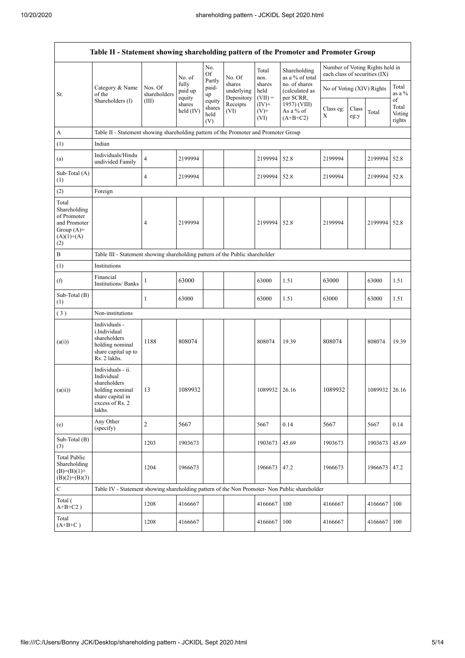| Table II - Statement showing shareholding pattern of the Promoter and Promoter Group        |                                                                                                                                                                                                                                                      |                                                                                      |                                         |                |               |                             |                                              |                                                                  |  |               |                 |
|---------------------------------------------------------------------------------------------|------------------------------------------------------------------------------------------------------------------------------------------------------------------------------------------------------------------------------------------------------|--------------------------------------------------------------------------------------|-----------------------------------------|----------------|---------------|-----------------------------|----------------------------------------------|------------------------------------------------------------------|--|---------------|-----------------|
|                                                                                             |                                                                                                                                                                                                                                                      |                                                                                      | No. of                                  | No.<br>Of      | No. Of        | Total<br>nos.               | Shareholding<br>as a % of total              | Number of Voting Rights held in<br>each class of securities (IX) |  |               |                 |
| Sr.                                                                                         | fully<br>shares<br>Category & Name<br>Nos. Of<br>paid-<br>paid up<br>underlying<br>of the<br>shareholders<br>up<br>equity<br>Depository<br>Shareholders (I)<br>(III)<br>equity<br>shares<br>Receipts<br>shares<br>held $(IV)$<br>(VI)<br>held<br>(V) |                                                                                      |                                         | Partly         |               | shares<br>held<br>$(VII) =$ | no. of shares<br>(calculated as<br>per SCRR, | No of Voting (XIV) Rights                                        |  |               | Total<br>as a % |
|                                                                                             |                                                                                                                                                                                                                                                      | $(IV)+$<br>$(V)+$<br>(VI)                                                            | 1957) (VIII)<br>As a % of<br>$(A+B+C2)$ | Class eg:<br>X | Class<br>eg:y | Total                       | of<br>Total<br>Voting<br>rights              |                                                                  |  |               |                 |
| $\boldsymbol{A}$                                                                            |                                                                                                                                                                                                                                                      | Table II - Statement showing shareholding pattern of the Promoter and Promoter Group |                                         |                |               |                             |                                              |                                                                  |  |               |                 |
| (1)                                                                                         | Indian                                                                                                                                                                                                                                               |                                                                                      |                                         |                |               |                             |                                              |                                                                  |  |               |                 |
| (a)                                                                                         | Individuals/Hindu<br>undivided Family                                                                                                                                                                                                                | $\overline{4}$                                                                       | 2199994                                 |                |               | 2199994                     | 52.8                                         | 2199994                                                          |  | 2199994       | 52.8            |
| Sub-Total (A)<br>(1)                                                                        |                                                                                                                                                                                                                                                      | $\overline{4}$                                                                       | 2199994                                 |                |               | 2199994                     | 52.8                                         | 2199994                                                          |  | 2199994 52.8  |                 |
| (2)                                                                                         | Foreign                                                                                                                                                                                                                                              |                                                                                      |                                         |                |               |                             |                                              |                                                                  |  |               |                 |
| Total<br>Shareholding<br>of Promoter<br>and Promoter<br>Group $(A)=$<br>$(A)(1)+(A)$<br>(2) |                                                                                                                                                                                                                                                      | 4                                                                                    | 2199994                                 |                |               | 2199994                     | 52.8                                         | 2199994                                                          |  | 2199994       | 52.8            |
| $\, {\bf B}$                                                                                |                                                                                                                                                                                                                                                      | Table III - Statement showing shareholding pattern of the Public shareholder         |                                         |                |               |                             |                                              |                                                                  |  |               |                 |
| (1)                                                                                         | Institutions                                                                                                                                                                                                                                         |                                                                                      |                                         |                |               |                             |                                              |                                                                  |  |               |                 |
| (f)                                                                                         | Financial<br><b>Institutions/ Banks</b>                                                                                                                                                                                                              | 1                                                                                    | 63000                                   |                |               | 63000                       | 1.51                                         | 63000                                                            |  | 63000         | 1.51            |
| Sub-Total (B)<br>(1)                                                                        |                                                                                                                                                                                                                                                      | 1                                                                                    | 63000                                   |                |               | 63000                       | 1.51                                         | 63000                                                            |  | 63000         | 1.51            |
| (3)                                                                                         | Non-institutions                                                                                                                                                                                                                                     |                                                                                      |                                         |                |               |                             |                                              |                                                                  |  |               |                 |
| (a(i))                                                                                      | Individuals -<br>i.Individual<br>shareholders<br>holding nominal<br>share capital up to<br>Rs. 2 lakhs.                                                                                                                                              | 1188                                                                                 | 808074                                  |                |               | 808074                      | 19.39                                        | 808074                                                           |  | 808074        | 19.39           |
| (a(ii))                                                                                     | Individuals - ii.<br>Individual<br>shareholders<br>holding nominal<br>share capital in<br>excess of Rs. 2<br>lakhs.                                                                                                                                  | 13                                                                                   | 1089932                                 |                |               | 1089932 26.16               |                                              | 1089932                                                          |  | 1089932 26.16 |                 |
| (e)                                                                                         | Any Other<br>(specify)                                                                                                                                                                                                                               | $\overline{c}$                                                                       | 5667                                    |                |               | 5667                        | 0.14                                         | 5667                                                             |  | 5667          | 0.14            |
| Sub-Total (B)<br>(3)                                                                        |                                                                                                                                                                                                                                                      | 1203                                                                                 | 1903673                                 |                |               | 1903673                     | 45.69                                        | 1903673                                                          |  | 1903673       | 45.69           |
| <b>Total Public</b><br>Shareholding<br>$(B)=(B)(1)+$<br>$(B)(2)+(B)(3)$                     |                                                                                                                                                                                                                                                      | 1204                                                                                 | 1966673                                 |                |               | 1966673                     | 47.2                                         | 1966673                                                          |  | 1966673       | 47.2            |
| ${\bf C}$                                                                                   | Table IV - Statement showing shareholding pattern of the Non Promoter- Non Public shareholder                                                                                                                                                        |                                                                                      |                                         |                |               |                             |                                              |                                                                  |  |               |                 |
| Total (<br>$A+B+C2$ )                                                                       |                                                                                                                                                                                                                                                      | 1208                                                                                 | 4166667                                 |                |               | 4166667                     | 100                                          | 4166667                                                          |  | 4166667       | 100             |
| Total<br>$(A+B+C)$                                                                          |                                                                                                                                                                                                                                                      | 1208                                                                                 | 4166667                                 |                |               | 4166667                     | 100                                          | 4166667                                                          |  | 4166667       | 100             |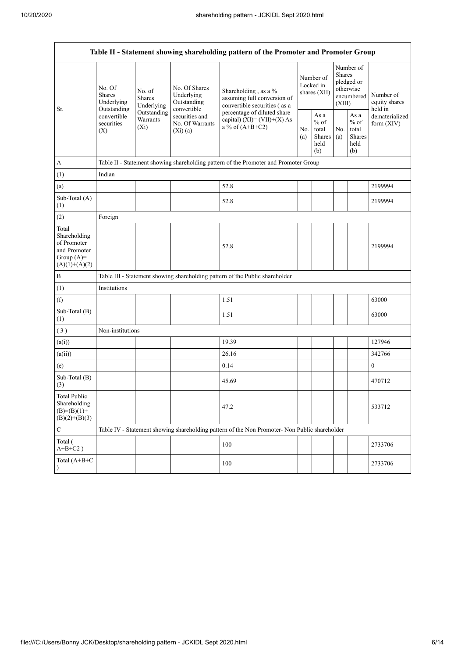| Table II - Statement showing shareholding pattern of the Promoter and Promoter Group    |                                                                                          |                                       |                                                                                                           |                                                                                               |            |                                                  |            |                                                                               |                                       |
|-----------------------------------------------------------------------------------------|------------------------------------------------------------------------------------------|---------------------------------------|-----------------------------------------------------------------------------------------------------------|-----------------------------------------------------------------------------------------------|------------|--------------------------------------------------|------------|-------------------------------------------------------------------------------|---------------------------------------|
| Sr.                                                                                     | No. Of<br><b>Shares</b><br>Underlying<br>Outstanding<br>convertible<br>securities<br>(X) | No. of<br><b>Shares</b><br>Underlying | No. Of Shares<br>Underlying<br>Outstanding<br>convertible<br>securities and<br>No. Of Warrants<br>(Xi)(a) | Shareholding, as a %<br>assuming full conversion of<br>convertible securities (as a           |            | Number of<br>Locked in<br>shares (XII)           |            | Number of<br><b>Shares</b><br>pledged or<br>otherwise<br>encumbered<br>(XIII) | Number of<br>equity shares<br>held in |
|                                                                                         |                                                                                          | Outstanding<br>Warrants<br>$(X_i)$    |                                                                                                           | percentage of diluted share<br>capital) $(XI) = (VII)+(X) As$<br>a % of $(A+B+C2)$            | No.<br>(a) | As a<br>$%$ of<br>total<br>Shares<br>held<br>(b) | No.<br>(a) | As a<br>$%$ of<br>total<br><b>Shares</b><br>held<br>(b)                       | dematerialized<br>form (XIV)          |
| $\mathbf A$                                                                             |                                                                                          |                                       |                                                                                                           | Table II - Statement showing shareholding pattern of the Promoter and Promoter Group          |            |                                                  |            |                                                                               |                                       |
| (1)                                                                                     | Indian                                                                                   |                                       |                                                                                                           |                                                                                               |            |                                                  |            |                                                                               |                                       |
| (a)                                                                                     |                                                                                          |                                       |                                                                                                           | 52.8                                                                                          |            |                                                  |            |                                                                               | 2199994                               |
| Sub-Total (A)<br>(1)                                                                    |                                                                                          |                                       |                                                                                                           | 52.8                                                                                          |            |                                                  |            |                                                                               | 2199994                               |
| (2)                                                                                     | Foreign                                                                                  |                                       |                                                                                                           |                                                                                               |            |                                                  |            |                                                                               |                                       |
| Total<br>Shareholding<br>of Promoter<br>and Promoter<br>Group $(A)=$<br>$(A)(1)+(A)(2)$ |                                                                                          |                                       |                                                                                                           | 52.8                                                                                          |            |                                                  |            |                                                                               | 2199994                               |
| $\, {\bf B}$                                                                            |                                                                                          |                                       |                                                                                                           | Table III - Statement showing shareholding pattern of the Public shareholder                  |            |                                                  |            |                                                                               |                                       |
| (1)                                                                                     | Institutions                                                                             |                                       |                                                                                                           |                                                                                               |            |                                                  |            |                                                                               |                                       |
| (f)                                                                                     |                                                                                          |                                       |                                                                                                           | 1.51                                                                                          |            |                                                  |            |                                                                               | 63000                                 |
| Sub-Total (B)<br>(1)                                                                    |                                                                                          |                                       |                                                                                                           | 1.51                                                                                          |            |                                                  |            |                                                                               | 63000                                 |
| (3)                                                                                     | Non-institutions                                                                         |                                       |                                                                                                           |                                                                                               |            |                                                  |            |                                                                               |                                       |
| (a(i))                                                                                  |                                                                                          |                                       |                                                                                                           | 19.39                                                                                         |            |                                                  |            |                                                                               | 127946                                |
| (a(ii))                                                                                 |                                                                                          |                                       |                                                                                                           | 26.16                                                                                         |            |                                                  |            |                                                                               | 342766                                |
| (e)                                                                                     |                                                                                          |                                       |                                                                                                           | 0.14                                                                                          |            |                                                  |            |                                                                               | $\boldsymbol{0}$                      |
| Sub-Total (B)<br>(3)                                                                    |                                                                                          |                                       |                                                                                                           | 45.69                                                                                         |            |                                                  |            |                                                                               | 470712                                |
| <b>Total Public</b><br>Shareholding<br>$(B)=(B)(1)+$<br>$(B)(2)+(B)(3)$                 |                                                                                          |                                       |                                                                                                           | 47.2                                                                                          |            |                                                  |            |                                                                               | 533712                                |
| $\mathbf C$                                                                             |                                                                                          |                                       |                                                                                                           | Table IV - Statement showing shareholding pattern of the Non Promoter- Non Public shareholder |            |                                                  |            |                                                                               |                                       |
| Total (<br>$A+B+C2$ )                                                                   |                                                                                          |                                       |                                                                                                           | 100                                                                                           |            |                                                  |            |                                                                               | 2733706                               |
| Total (A+B+C<br>$\lambda$                                                               |                                                                                          |                                       |                                                                                                           | 100                                                                                           |            |                                                  |            |                                                                               | 2733706                               |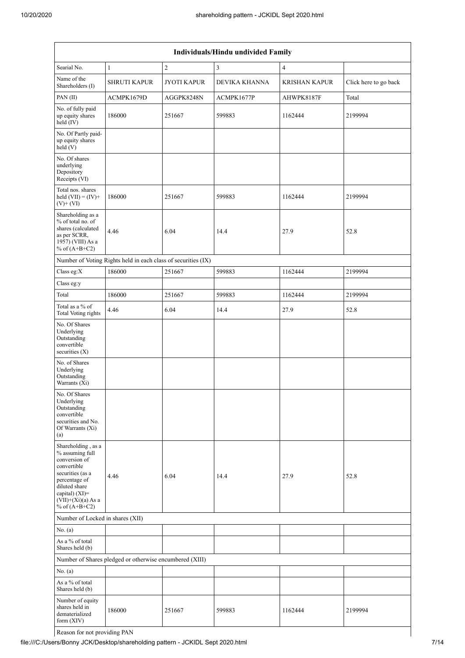| Individuals/Hindu undivided Family                                                                                                                                                       |                                                               |                    |               |                      |                       |  |  |
|------------------------------------------------------------------------------------------------------------------------------------------------------------------------------------------|---------------------------------------------------------------|--------------------|---------------|----------------------|-----------------------|--|--|
| Searial No.                                                                                                                                                                              | $\mathbf{1}$                                                  | $\overline{c}$     | 3             | $\overline{4}$       |                       |  |  |
| Name of the<br>Shareholders (I)                                                                                                                                                          | <b>SHRUTI KAPUR</b>                                           | <b>JYOTI KAPUR</b> | DEVIKA KHANNA | <b>KRISHAN KAPUR</b> | Click here to go back |  |  |
| PAN(II)                                                                                                                                                                                  | ACMPK1679D                                                    | AGGPK8248N         | ACMPK1677P    | AHWPK8187F           | Total                 |  |  |
| No. of fully paid<br>up equity shares<br>held (IV)                                                                                                                                       | 186000                                                        | 251667             | 599883        | 1162444              | 2199994               |  |  |
| No. Of Partly paid-<br>up equity shares<br>held(V)                                                                                                                                       |                                                               |                    |               |                      |                       |  |  |
| No. Of shares<br>underlying<br>Depository<br>Receipts (VI)                                                                                                                               |                                                               |                    |               |                      |                       |  |  |
| Total nos. shares<br>held $(VII) = (IV) +$<br>$(V)+(VI)$                                                                                                                                 | 186000                                                        | 251667             | 599883        | 1162444              | 2199994               |  |  |
| Shareholding as a<br>% of total no. of<br>shares (calculated<br>as per SCRR,<br>1957) (VIII) As a<br>% of $(A+B+C2)$                                                                     | 4.46                                                          | 6.04               | 14.4          | 27.9                 | 52.8                  |  |  |
|                                                                                                                                                                                          | Number of Voting Rights held in each class of securities (IX) |                    |               |                      |                       |  |  |
| Class eg: $X$                                                                                                                                                                            | 186000                                                        | 251667             | 599883        | 1162444              | 2199994               |  |  |
| Class eg:y                                                                                                                                                                               |                                                               |                    |               |                      |                       |  |  |
| Total                                                                                                                                                                                    | 186000                                                        | 251667             | 599883        | 1162444              | 2199994               |  |  |
| Total as a % of<br><b>Total Voting rights</b>                                                                                                                                            | 4.46                                                          | 6.04               | 14.4          | 27.9                 | 52.8                  |  |  |
| No. Of Shares<br>Underlying<br>Outstanding<br>convertible<br>securities $(X)$                                                                                                            |                                                               |                    |               |                      |                       |  |  |
| No. of Shares<br>Underlying<br>Outstanding<br>Warrants (Xi)                                                                                                                              |                                                               |                    |               |                      |                       |  |  |
| No. Of Shares<br>Underlying<br>Outstanding<br>convertible<br>securities and No.<br>Of Warrants (Xi)<br>(a)                                                                               |                                                               |                    |               |                      |                       |  |  |
| Shareholding, as a<br>% assuming full<br>conversion of<br>convertible<br>securities (as a<br>percentage of<br>diluted share<br>capital) (XI)=<br>$(VII)+(Xi)(a)$ As a<br>% of $(A+B+C2)$ | 4.46                                                          | 6.04               | 14.4          | 27.9                 | 52.8                  |  |  |
| Number of Locked in shares (XII)                                                                                                                                                         |                                                               |                    |               |                      |                       |  |  |
| No. $(a)$                                                                                                                                                                                |                                                               |                    |               |                      |                       |  |  |
| As a % of total<br>Shares held (b)                                                                                                                                                       |                                                               |                    |               |                      |                       |  |  |
|                                                                                                                                                                                          | Number of Shares pledged or otherwise encumbered (XIII)       |                    |               |                      |                       |  |  |
| No. $(a)$                                                                                                                                                                                |                                                               |                    |               |                      |                       |  |  |
| As a % of total<br>Shares held (b)                                                                                                                                                       |                                                               |                    |               |                      |                       |  |  |
| Number of equity<br>shares held in<br>dematerialized<br>form $(XIV)$                                                                                                                     | 186000                                                        | 251667             | 599883        | 1162444              | 2199994               |  |  |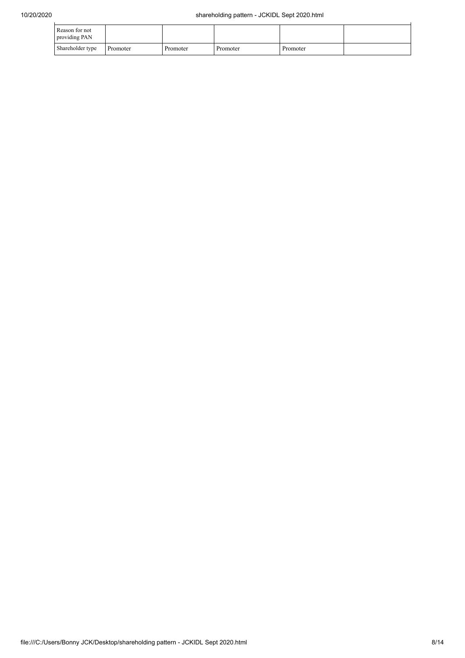| Reason for not<br>providing PAN |          |          |          |          |  |
|---------------------------------|----------|----------|----------|----------|--|
| Shareholder type                | Promoter | Promoter | Promoter | Promoter |  |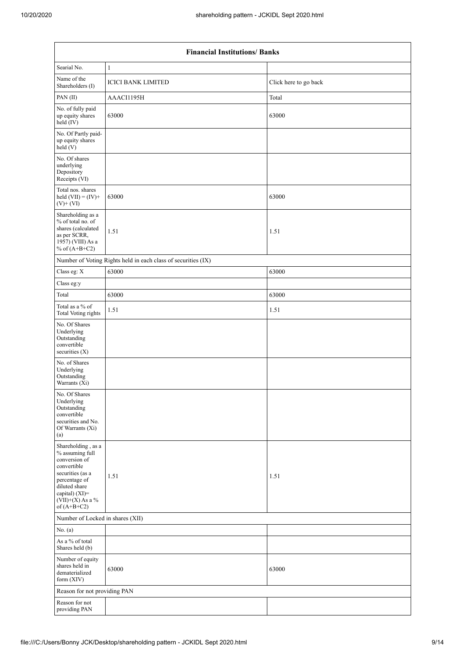| <b>Financial Institutions/ Banks</b>                                                                                                                                                 |                                                               |                       |  |  |  |  |
|--------------------------------------------------------------------------------------------------------------------------------------------------------------------------------------|---------------------------------------------------------------|-----------------------|--|--|--|--|
| Searial No.                                                                                                                                                                          | $\mathbf{1}$                                                  |                       |  |  |  |  |
| Name of the<br>Shareholders (I)                                                                                                                                                      | <b>ICICI BANK LIMITED</b>                                     | Click here to go back |  |  |  |  |
| PAN(II)                                                                                                                                                                              | AAACI1195H                                                    | Total                 |  |  |  |  |
| No. of fully paid<br>up equity shares<br>held (IV)                                                                                                                                   | 63000                                                         | 63000                 |  |  |  |  |
| No. Of Partly paid-<br>up equity shares<br>held (V)                                                                                                                                  |                                                               |                       |  |  |  |  |
| No. Of shares<br>underlying<br>Depository<br>Receipts (VI)                                                                                                                           |                                                               |                       |  |  |  |  |
| Total nos. shares<br>held $(VII) = (IV) +$<br>$(V)+(VI)$                                                                                                                             | 63000                                                         | 63000                 |  |  |  |  |
| Shareholding as a<br>% of total no. of<br>shares (calculated<br>as per SCRR,<br>1957) (VIII) As a<br>% of $(A+B+C2)$                                                                 | 1.51                                                          | 1.51                  |  |  |  |  |
|                                                                                                                                                                                      | Number of Voting Rights held in each class of securities (IX) |                       |  |  |  |  |
| Class eg: X                                                                                                                                                                          | 63000                                                         | 63000                 |  |  |  |  |
| Class eg:y                                                                                                                                                                           |                                                               |                       |  |  |  |  |
| Total                                                                                                                                                                                | 63000                                                         | 63000                 |  |  |  |  |
| Total as a % of<br><b>Total Voting rights</b>                                                                                                                                        | 1.51                                                          | 1.51                  |  |  |  |  |
| No. Of Shares<br>Underlying<br>Outstanding<br>convertible<br>securities (X)                                                                                                          |                                                               |                       |  |  |  |  |
| No. of Shares<br>Underlying<br>Outstanding<br>Warrants (Xi)                                                                                                                          |                                                               |                       |  |  |  |  |
| No. Of Shares<br>Underlying<br>Outstanding<br>convertible<br>securities and No.<br>Of Warrants (Xi)<br>(a)                                                                           |                                                               |                       |  |  |  |  |
| Shareholding, as a<br>% assuming full<br>conversion of<br>convertible<br>securities (as a<br>percentage of<br>diluted share<br>capital) (XI)=<br>$(VII)+(X)$ As a %<br>of $(A+B+C2)$ | 1.51                                                          | 1.51                  |  |  |  |  |
| Number of Locked in shares (XII)                                                                                                                                                     |                                                               |                       |  |  |  |  |
| No. (a)                                                                                                                                                                              |                                                               |                       |  |  |  |  |
| As a % of total<br>Shares held (b)                                                                                                                                                   |                                                               |                       |  |  |  |  |
| Number of equity<br>shares held in<br>dematerialized<br>form (XIV)                                                                                                                   | 63000                                                         | 63000                 |  |  |  |  |
| Reason for not providing PAN                                                                                                                                                         |                                                               |                       |  |  |  |  |
| Reason for not<br>providing PAN                                                                                                                                                      |                                                               |                       |  |  |  |  |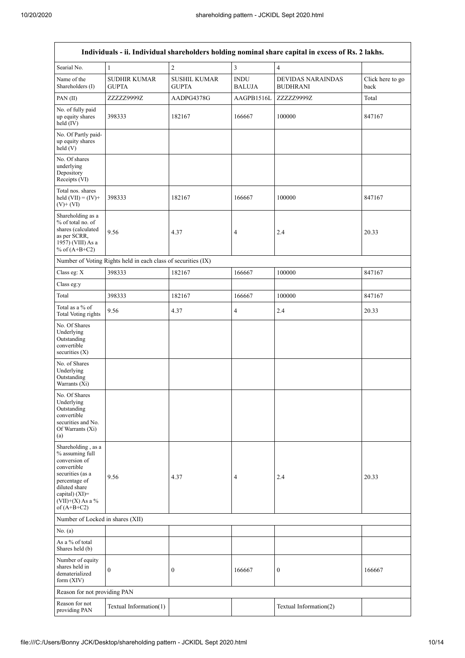| Individuals - ii. Individual shareholders holding nominal share capital in excess of Rs. 2 lakhs.                                                                                    |                                                               |                                     |                              |                                             |                          |  |  |
|--------------------------------------------------------------------------------------------------------------------------------------------------------------------------------------|---------------------------------------------------------------|-------------------------------------|------------------------------|---------------------------------------------|--------------------------|--|--|
| Searial No.                                                                                                                                                                          | $\mathbf{1}$                                                  | $\overline{2}$                      | 3                            | $\overline{4}$                              |                          |  |  |
| Name of the<br>Shareholders (I)                                                                                                                                                      | <b>SUDHIR KUMAR</b><br><b>GUPTA</b>                           | <b>SUSHIL KUMAR</b><br><b>GUPTA</b> | <b>INDU</b><br><b>BALUJA</b> | <b>DEVIDAS NARAINDAS</b><br><b>BUDHRANI</b> | Click here to go<br>back |  |  |
| PAN(II)                                                                                                                                                                              | ZZZZZ9999Z                                                    | AADPG4378G                          | AAGPB1516L                   | ZZZZZ9999Z                                  | Total                    |  |  |
| No. of fully paid<br>up equity shares<br>held $(IV)$                                                                                                                                 | 398333                                                        | 182167                              | 166667                       | 100000                                      | 847167                   |  |  |
| No. Of Partly paid-<br>up equity shares<br>held $(V)$                                                                                                                                |                                                               |                                     |                              |                                             |                          |  |  |
| No. Of shares<br>underlying<br>Depository<br>Receipts (VI)                                                                                                                           |                                                               |                                     |                              |                                             |                          |  |  |
| Total nos. shares<br>held $(VII) = (IV) +$<br>$(V)+(VI)$                                                                                                                             | 398333                                                        | 182167                              | 166667                       | 100000                                      | 847167                   |  |  |
| Shareholding as a<br>% of total no. of<br>shares (calculated<br>as per SCRR,<br>1957) (VIII) As a<br>% of $(A+B+C2)$                                                                 | 9.56                                                          | 4.37                                | 4                            | 2.4                                         | 20.33                    |  |  |
|                                                                                                                                                                                      | Number of Voting Rights held in each class of securities (IX) |                                     |                              |                                             |                          |  |  |
| Class eg: X                                                                                                                                                                          | 398333                                                        | 182167                              | 166667                       | 100000                                      | 847167                   |  |  |
| Class eg:y                                                                                                                                                                           |                                                               |                                     |                              |                                             |                          |  |  |
| Total                                                                                                                                                                                | 398333                                                        | 182167                              | 166667                       | 100000                                      | 847167                   |  |  |
| Total as a % of<br><b>Total Voting rights</b>                                                                                                                                        | 9.56                                                          | 4.37                                | 4                            | 2.4                                         | 20.33                    |  |  |
| No. Of Shares<br>Underlying<br>Outstanding<br>convertible<br>securities $(X)$                                                                                                        |                                                               |                                     |                              |                                             |                          |  |  |
| No. of Shares<br>Underlying<br>Outstanding<br>Warrants (Xi)                                                                                                                          |                                                               |                                     |                              |                                             |                          |  |  |
| No. Of Shares<br>Underlying<br>Outstanding<br>convertible<br>securities and No.<br>Of Warrants (Xi)<br>(a)                                                                           |                                                               |                                     |                              |                                             |                          |  |  |
| Shareholding, as a<br>% assuming full<br>conversion of<br>convertible<br>securities (as a<br>percentage of<br>diluted share<br>capital) (XI)=<br>$(VII)+(X)$ As a %<br>of $(A+B+C2)$ | 9.56                                                          | 4.37                                | 4                            | 2.4                                         | 20.33                    |  |  |
| Number of Locked in shares (XII)                                                                                                                                                     |                                                               |                                     |                              |                                             |                          |  |  |
| No. (a)                                                                                                                                                                              |                                                               |                                     |                              |                                             |                          |  |  |
| As a % of total<br>Shares held (b)                                                                                                                                                   |                                                               |                                     |                              |                                             |                          |  |  |
| Number of equity<br>shares held in<br>dematerialized<br>form $(XIV)$                                                                                                                 | $\overline{0}$                                                | $\boldsymbol{0}$                    | 166667                       | $\boldsymbol{0}$                            | 166667                   |  |  |
| Reason for not providing PAN                                                                                                                                                         |                                                               |                                     |                              |                                             |                          |  |  |
| Reason for not<br>providing PAN                                                                                                                                                      | Textual Information(1)                                        |                                     |                              | Textual Information(2)                      |                          |  |  |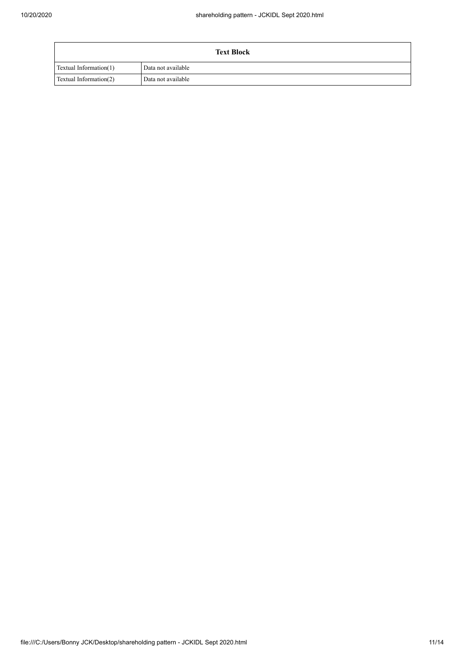| <b>Text Block</b>      |                    |  |  |  |  |  |
|------------------------|--------------------|--|--|--|--|--|
| Textual Information(1) | Data not available |  |  |  |  |  |
| Textual Information(2) | Data not available |  |  |  |  |  |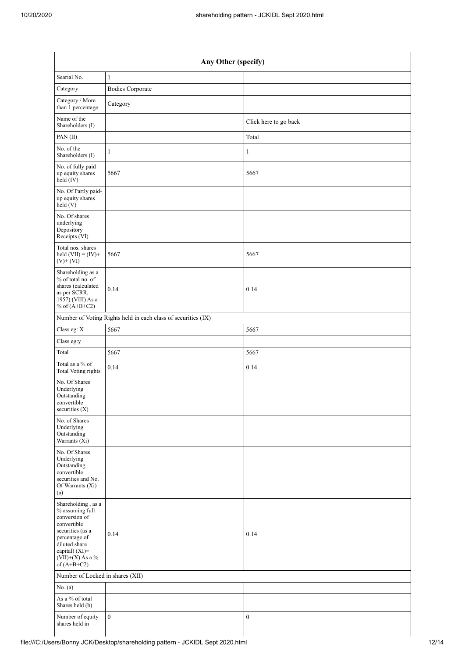|                                                                                                                                                                                      | Any Other (specify)                                           |                       |  |  |  |  |  |
|--------------------------------------------------------------------------------------------------------------------------------------------------------------------------------------|---------------------------------------------------------------|-----------------------|--|--|--|--|--|
| Searial No.                                                                                                                                                                          | $\mathbf{1}$                                                  |                       |  |  |  |  |  |
| Category                                                                                                                                                                             | <b>Bodies Corporate</b>                                       |                       |  |  |  |  |  |
| Category / More<br>than 1 percentage                                                                                                                                                 | Category                                                      |                       |  |  |  |  |  |
| Name of the<br>Shareholders (I)                                                                                                                                                      |                                                               | Click here to go back |  |  |  |  |  |
| PAN(II)                                                                                                                                                                              |                                                               | Total                 |  |  |  |  |  |
| No. of the<br>Shareholders (I)                                                                                                                                                       | 1                                                             | 1                     |  |  |  |  |  |
| No. of fully paid<br>up equity shares<br>held (IV)                                                                                                                                   | 5667                                                          | 5667                  |  |  |  |  |  |
| No. Of Partly paid-<br>up equity shares<br>held(V)                                                                                                                                   |                                                               |                       |  |  |  |  |  |
| No. Of shares<br>underlying<br>Depository<br>Receipts (VI)                                                                                                                           |                                                               |                       |  |  |  |  |  |
| Total nos. shares<br>held $(VII) = (IV) +$<br>$(V)$ + $(VI)$                                                                                                                         | 5667                                                          | 5667                  |  |  |  |  |  |
| Shareholding as a<br>% of total no. of<br>shares (calculated<br>as per SCRR,<br>1957) (VIII) As a<br>% of $(A+B+C2)$                                                                 | 0.14                                                          | 0.14                  |  |  |  |  |  |
|                                                                                                                                                                                      | Number of Voting Rights held in each class of securities (IX) |                       |  |  |  |  |  |
| Class eg: X                                                                                                                                                                          | 5667                                                          | 5667                  |  |  |  |  |  |
| Class eg:y                                                                                                                                                                           |                                                               |                       |  |  |  |  |  |
| Total                                                                                                                                                                                | 5667                                                          | 5667                  |  |  |  |  |  |
| Total as a $\%$ of<br>Total Voting rights                                                                                                                                            | 0.14                                                          | 0.14                  |  |  |  |  |  |
| No. Of Shares<br>Underlying<br>Outstanding<br>convertible<br>securities (X)                                                                                                          |                                                               |                       |  |  |  |  |  |
| No. of Shares<br>Underlying<br>Outstanding<br>Warrants (Xi)                                                                                                                          |                                                               |                       |  |  |  |  |  |
| No. Of Shares<br>Underlying<br>Outstanding<br>convertible<br>securities and No.<br>Of Warrants (Xi)<br>(a)                                                                           |                                                               |                       |  |  |  |  |  |
| Shareholding, as a<br>% assuming full<br>conversion of<br>convertible<br>securities (as a<br>percentage of<br>diluted share<br>capital) (XI)=<br>$(VII)+(X)$ As a %<br>of $(A+B+C2)$ | 0.14                                                          | 0.14                  |  |  |  |  |  |
| Number of Locked in shares (XII)                                                                                                                                                     |                                                               |                       |  |  |  |  |  |
| No. $(a)$                                                                                                                                                                            |                                                               |                       |  |  |  |  |  |
| As a $\%$ of total<br>Shares held (b)                                                                                                                                                |                                                               |                       |  |  |  |  |  |
| Number of equity<br>shares held in                                                                                                                                                   | $\boldsymbol{0}$                                              | $\boldsymbol{0}$      |  |  |  |  |  |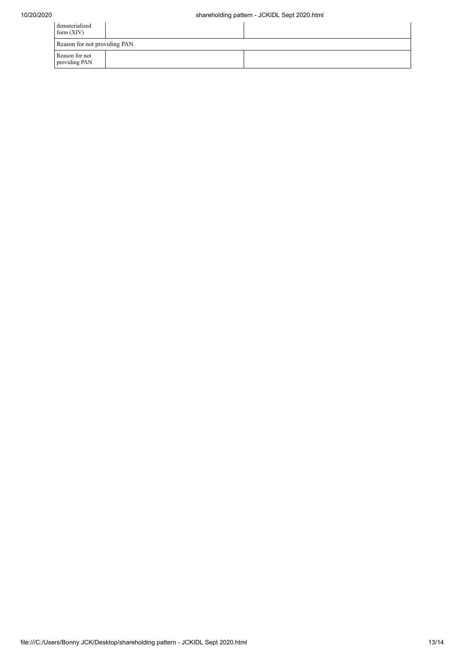| dematerialized<br>form $(XIV)$  |  |  |
|---------------------------------|--|--|
| Reason for not providing PAN    |  |  |
| Reason for not<br>providing PAN |  |  |